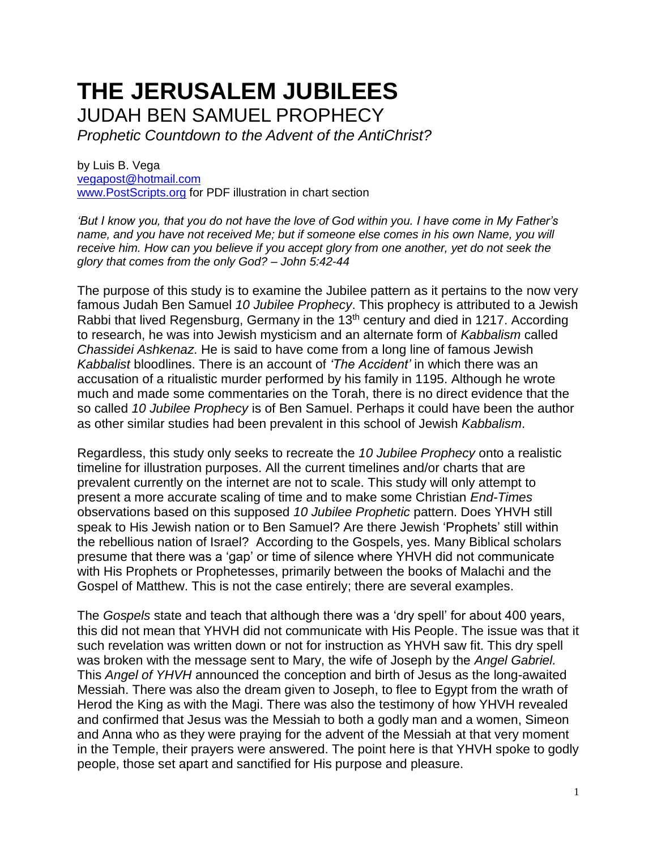## **THE JERUSALEM JUBILEES** JUDAH BEN SAMUEL PROPHECY

*Prophetic Countdown to the Advent of the AntiChrist?*

by Luis B. Vega [vegapost@hotmail.com](mailto:vegapost@hotmail.com) [www.PostScripts.org](http://www.postscripts.org/) for PDF illustration in chart section

*'But I know you, that you do not have the love of God within you. I have come in My Father's name, and you have not received Me; but if someone else comes in his own Name, you will receive him. How can you believe if you accept glory from one another, yet do not seek the glory that comes from the only God? – John 5:42-44*

The purpose of this study is to examine the Jubilee pattern as it pertains to the now very famous Judah Ben Samuel *10 Jubilee Prophecy*. This prophecy is attributed to a Jewish Rabbi that lived Regensburg, Germany in the 13th century and died in 1217. According to research, he was into Jewish mysticism and an alternate form of *Kabbalism* called *Chassidei Ashkenaz*. He is said to have come from a long line of famous Jewish *Kabbalist* bloodlines. There is an account of *'The Accident'* in which there was an accusation of a ritualistic murder performed by his family in 1195. Although he wrote much and made some commentaries on the Torah, there is no direct evidence that the so called *10 Jubilee Prophecy* is of Ben Samuel. Perhaps it could have been the author as other similar studies had been prevalent in this school of Jewish *Kabbalism*.

Regardless, this study only seeks to recreate the *10 Jubilee Prophecy* onto a realistic timeline for illustration purposes. All the current timelines and/or charts that are prevalent currently on the internet are not to scale. This study will only attempt to present a more accurate scaling of time and to make some Christian *End-Times* observations based on this supposed *10 Jubilee Prophetic* pattern. Does YHVH still speak to His Jewish nation or to Ben Samuel? Are there Jewish 'Prophets' still within the rebellious nation of Israel? According to the Gospels, yes. Many Biblical scholars presume that there was a 'gap' or time of silence where YHVH did not communicate with His Prophets or Prophetesses, primarily between the books of Malachi and the Gospel of Matthew. This is not the case entirely; there are several examples.

The *Gospels* state and teach that although there was a 'dry spell' for about 400 years, this did not mean that YHVH did not communicate with His People. The issue was that it such revelation was written down or not for instruction as YHVH saw fit. This dry spell was broken with the message sent to Mary, the wife of Joseph by the *Angel Gabriel.* This *Angel of YHVH* announced the conception and birth of Jesus as the long-awaited Messiah. There was also the dream given to Joseph, to flee to Egypt from the wrath of Herod the King as with the Magi. There was also the testimony of how YHVH revealed and confirmed that Jesus was the Messiah to both a godly man and a women, Simeon and Anna who as they were praying for the advent of the Messiah at that very moment in the Temple, their prayers were answered. The point here is that YHVH spoke to godly people, those set apart and sanctified for His purpose and pleasure.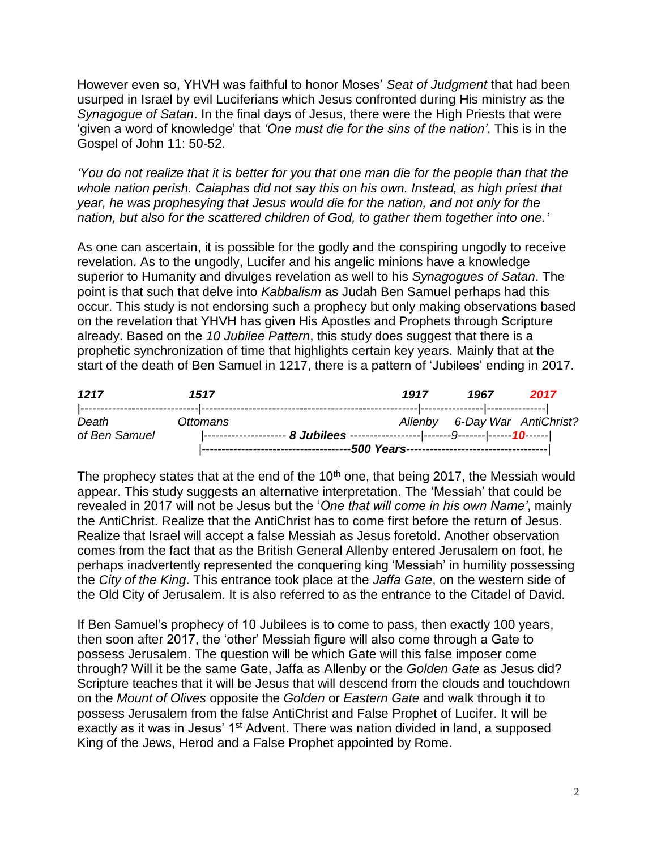However even so, YHVH was faithful to honor Moses' *Seat of Judgment* that had been usurped in Israel by evil Luciferians which Jesus confronted during His ministry as the *Synagogue of Satan*. In the final days of Jesus, there were the High Priests that were 'given a word of knowledge' that *'One must die for the sins of the nation'*. This is in the Gospel of John 11: 50-52.

*'You do not realize that it is better for you that one man die for the people than that the whole nation perish. Caiaphas did not say this on his own. Instead, as high priest that year, he was prophesying that Jesus would die for the nation, and not only for the nation, but also for the scattered children of God, to gather them together into one.'*

As one can ascertain, it is possible for the godly and the conspiring ungodly to receive revelation. As to the ungodly, Lucifer and his angelic minions have a knowledge superior to Humanity and divulges revelation as well to his *Synagogues of Satan*. The point is that such that delve into *Kabbalism* as Judah Ben Samuel perhaps had this occur. This study is not endorsing such a prophecy but only making observations based on the revelation that YHVH has given His Apostles and Prophets through Scripture already. Based on the *10 Jubilee Pattern*, this study does suggest that there is a prophetic synchronization of time that highlights certain key years. Mainly that at the start of the death of Ben Samuel in 1217, there is a pattern of 'Jubilees' ending in 2017.

| 1217                   | 1517     | 1917                                       | 1967                          | 2017 |
|------------------------|----------|--------------------------------------------|-------------------------------|------|
| Death<br>of Ben Samuel | Ottomans |                                            | Allenby 6-Day War AntiChrist? |      |
|                        |          | ----500 Years----------------------------- |                               |      |

The prophecy states that at the end of the  $10<sup>th</sup>$  one, that being 2017, the Messiah would appear. This study suggests an alternative interpretation. The 'Messiah' that could be revealed in 2017 will not be Jesus but the '*One that will come in his own Name'*, mainly the AntiChrist. Realize that the AntiChrist has to come first before the return of Jesus. Realize that Israel will accept a false Messiah as Jesus foretold. Another observation comes from the fact that as the British General Allenby entered Jerusalem on foot, he perhaps inadvertently represented the conquering king 'Messiah' in humility possessing the *City of the King*. This entrance took place at the *Jaffa Gate*, on the western side of the Old City of Jerusalem. It is also referred to as the entrance to the Citadel of David.

If Ben Samuel's prophecy of 10 Jubilees is to come to pass, then exactly 100 years, then soon after 2017, the 'other' Messiah figure will also come through a Gate to possess Jerusalem. The question will be which Gate will this false imposer come through? Will it be the same Gate, Jaffa as Allenby or the *Golden Gate* as Jesus did? Scripture teaches that it will be Jesus that will descend from the clouds and touchdown on the *Mount of Olives* opposite the *Golden* or *Eastern Gate* and walk through it to possess Jerusalem from the false AntiChrist and False Prophet of Lucifer. It will be exactly as it was in Jesus' 1<sup>st</sup> Advent. There was nation divided in land, a supposed King of the Jews, Herod and a False Prophet appointed by Rome.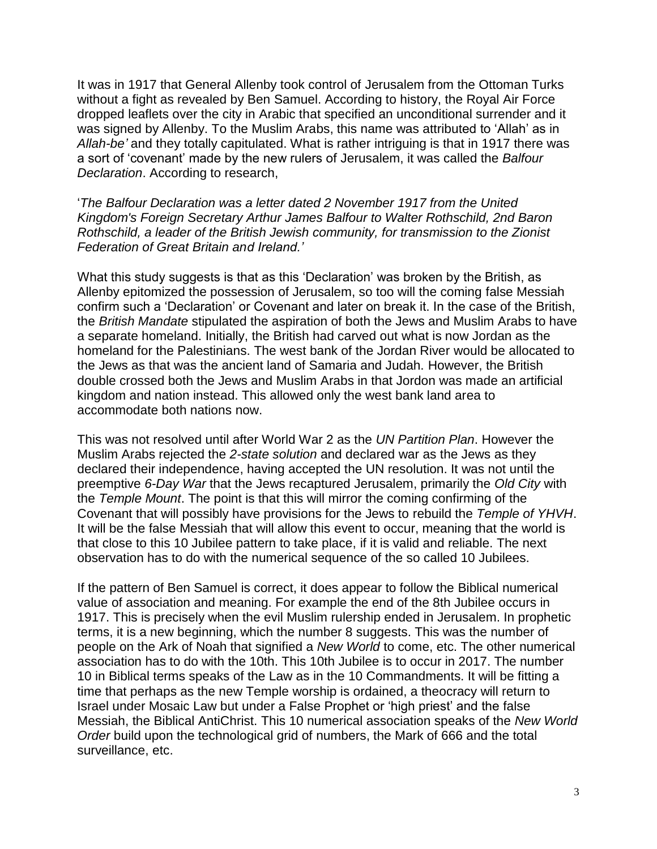It was in 1917 that General Allenby took control of Jerusalem from the Ottoman Turks without a fight as revealed by Ben Samuel. According to history, the Royal Air Force dropped leaflets over the city in Arabic that specified an unconditional surrender and it was signed by Allenby. To the Muslim Arabs, this name was attributed to 'Allah' as in *Allah-be'* and they totally capitulated. What is rather intriguing is that in 1917 there was a sort of 'covenant' made by the new rulers of Jerusalem, it was called the *Balfour Declaration*. According to research,

'*The Balfour Declaration was a letter dated 2 November 1917 from the United Kingdom's Foreign Secretary Arthur James Balfour to Walter Rothschild, 2nd Baron Rothschild, a leader of the British Jewish community, for transmission to the Zionist Federation of Great Britain and Ireland.'*

What this study suggests is that as this 'Declaration' was broken by the British, as Allenby epitomized the possession of Jerusalem, so too will the coming false Messiah confirm such a 'Declaration' or Covenant and later on break it. In the case of the British, the *British Mandate* stipulated the aspiration of both the Jews and Muslim Arabs to have a separate homeland. Initially, the British had carved out what is now Jordan as the homeland for the Palestinians. The west bank of the Jordan River would be allocated to the Jews as that was the ancient land of Samaria and Judah. However, the British double crossed both the Jews and Muslim Arabs in that Jordon was made an artificial kingdom and nation instead. This allowed only the west bank land area to accommodate both nations now.

This was not resolved until after World War 2 as the *UN Partition Plan*. However the Muslim Arabs rejected the *2-state solution* and declared war as the Jews as they declared their independence, having accepted the UN resolution. It was not until the preemptive *6-Day War* that the Jews recaptured Jerusalem, primarily the *Old City* with the *Temple Mount*. The point is that this will mirror the coming confirming of the Covenant that will possibly have provisions for the Jews to rebuild the *Temple of YHVH*. It will be the false Messiah that will allow this event to occur, meaning that the world is that close to this 10 Jubilee pattern to take place, if it is valid and reliable. The next observation has to do with the numerical sequence of the so called 10 Jubilees.

If the pattern of Ben Samuel is correct, it does appear to follow the Biblical numerical value of association and meaning. For example the end of the 8th Jubilee occurs in 1917. This is precisely when the evil Muslim rulership ended in Jerusalem. In prophetic terms, it is a new beginning, which the number 8 suggests. This was the number of people on the Ark of Noah that signified a *New World* to come, etc. The other numerical association has to do with the 10th. This 10th Jubilee is to occur in 2017. The number 10 in Biblical terms speaks of the Law as in the 10 Commandments. It will be fitting a time that perhaps as the new Temple worship is ordained, a theocracy will return to Israel under Mosaic Law but under a False Prophet or 'high priest' and the false Messiah, the Biblical AntiChrist. This 10 numerical association speaks of the *New World Order* build upon the technological grid of numbers, the Mark of 666 and the total surveillance, etc.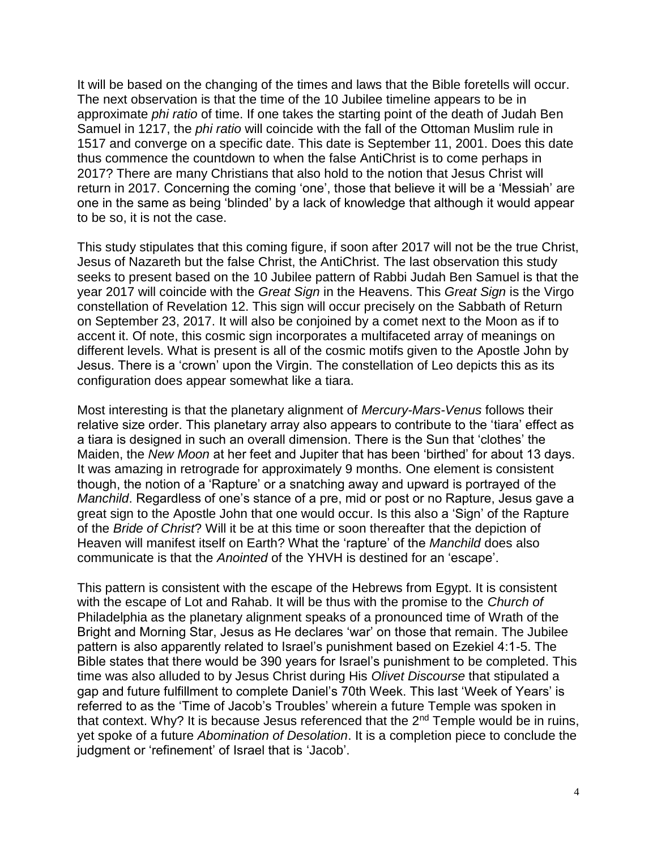It will be based on the changing of the times and laws that the Bible foretells will occur. The next observation is that the time of the 10 Jubilee timeline appears to be in approximate *phi ratio* of time. If one takes the starting point of the death of Judah Ben Samuel in 1217, the *phi ratio* will coincide with the fall of the Ottoman Muslim rule in 1517 and converge on a specific date. This date is September 11, 2001. Does this date thus commence the countdown to when the false AntiChrist is to come perhaps in 2017? There are many Christians that also hold to the notion that Jesus Christ will return in 2017. Concerning the coming 'one', those that believe it will be a 'Messiah' are one in the same as being 'blinded' by a lack of knowledge that although it would appear to be so, it is not the case.

This study stipulates that this coming figure, if soon after 2017 will not be the true Christ, Jesus of Nazareth but the false Christ, the AntiChrist. The last observation this study seeks to present based on the 10 Jubilee pattern of Rabbi Judah Ben Samuel is that the year 2017 will coincide with the *Great Sign* in the Heavens. This *Great Sign* is the Virgo constellation of Revelation 12. This sign will occur precisely on the Sabbath of Return on September 23, 2017. It will also be conjoined by a comet next to the Moon as if to accent it. Of note, this cosmic sign incorporates a multifaceted array of meanings on different levels. What is present is all of the cosmic motifs given to the Apostle John by Jesus. There is a 'crown' upon the Virgin. The constellation of Leo depicts this as its configuration does appear somewhat like a tiara.

Most interesting is that the planetary alignment of *Mercury-Mars-Venus* follows their relative size order. This planetary array also appears to contribute to the 'tiara' effect as a tiara is designed in such an overall dimension. There is the Sun that 'clothes' the Maiden, the *New Moon* at her feet and Jupiter that has been 'birthed' for about 13 days. It was amazing in retrograde for approximately 9 months. One element is consistent though, the notion of a 'Rapture' or a snatching away and upward is portrayed of the *Manchild*. Regardless of one's stance of a pre, mid or post or no Rapture, Jesus gave a great sign to the Apostle John that one would occur. Is this also a 'Sign' of the Rapture of the *Bride of Christ*? Will it be at this time or soon thereafter that the depiction of Heaven will manifest itself on Earth? What the 'rapture' of the *Manchild* does also communicate is that the *Anointed* of the YHVH is destined for an 'escape'.

This pattern is consistent with the escape of the Hebrews from Egypt. It is consistent with the escape of Lot and Rahab. It will be thus with the promise to the *Church of* Philadelphia as the planetary alignment speaks of a pronounced time of Wrath of the Bright and Morning Star, Jesus as He declares 'war' on those that remain. The Jubilee pattern is also apparently related to Israel's punishment based on Ezekiel 4:1-5. The Bible states that there would be 390 years for Israel's punishment to be completed. This time was also alluded to by Jesus Christ during His *Olivet Discourse* that stipulated a gap and future fulfillment to complete Daniel's 70th Week. This last 'Week of Years' is referred to as the 'Time of Jacob's Troubles' wherein a future Temple was spoken in that context. Why? It is because Jesus referenced that the  $2<sup>nd</sup>$  Temple would be in ruins, yet spoke of a future *Abomination of Desolation*. It is a completion piece to conclude the judgment or 'refinement' of Israel that is 'Jacob'.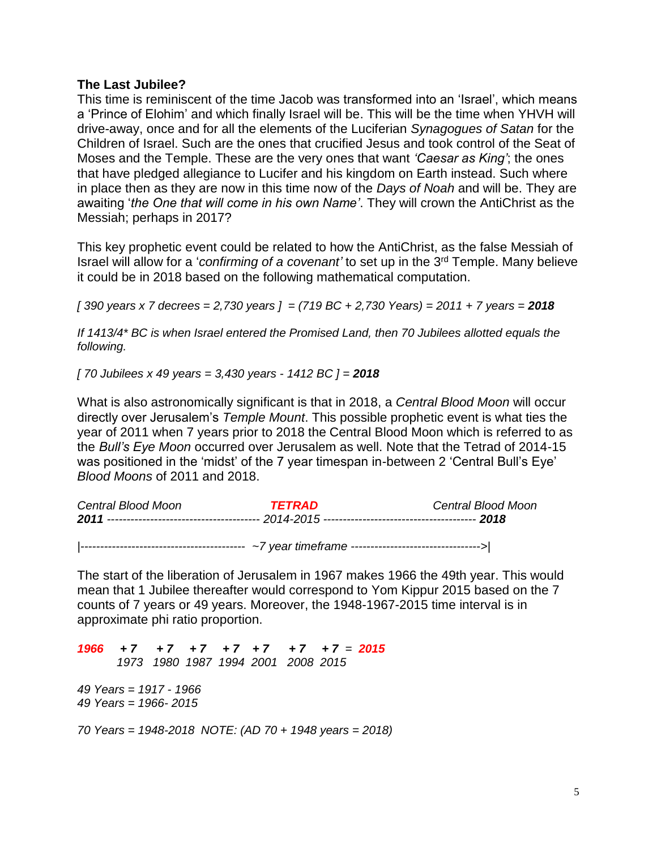## **The Last Jubilee?**

This time is reminiscent of the time Jacob was transformed into an 'Israel', which means a 'Prince of Elohim' and which finally Israel will be. This will be the time when YHVH will drive-away, once and for all the elements of the Luciferian *Synagogues of Satan* for the Children of Israel. Such are the ones that crucified Jesus and took control of the Seat of Moses and the Temple. These are the very ones that want *'Caesar as King'*; the ones that have pledged allegiance to Lucifer and his kingdom on Earth instead. Such where in place then as they are now in this time now of the *Days of Noah* and will be. They are awaiting '*the One that will come in his own Name'*. They will crown the AntiChrist as the Messiah; perhaps in 2017?

This key prophetic event could be related to how the AntiChrist, as the false Messiah of Israel will allow for a '*confirming of a covenant'* to set up in the 3<sup>rd</sup> Temple. Many believe it could be in 2018 based on the following mathematical computation.

*[ 390 years x 7 decrees = 2,730 years ] = (719 BC + 2,730 Years) = 2011 + 7 years = 2018*

*If 1413/4\* BC is when Israel entered the Promised Land, then 70 Jubilees allotted equals the following.* 

*[ 70 Jubilees x 49 years = 3,430 years - 1412 BC ] = 2018*

What is also astronomically significant is that in 2018, a *Central Blood Moon* will occur directly over Jerusalem's *Temple Mount*. This possible prophetic event is what ties the year of 2011 when 7 years prior to 2018 the Central Blood Moon which is referred to as the *Bull's Eye Moon* occurred over Jerusalem as well. Note that the Tetrad of 2014-15 was positioned in the 'midst' of the 7 year timespan in-between 2 'Central Bull's Eye' *Blood Moons* of 2011 and 2018.

| Central Blood Moon | TETRAD | Central Blood Moon |  |
|--------------------|--------|--------------------|--|
|                    |        |                    |  |
|                    |        |                    |  |
|                    |        |                    |  |

The start of the liberation of Jerusalem in 1967 makes 1966 the 49th year. This would mean that 1 Jubilee thereafter would correspond to Yom Kippur 2015 based on the 7 counts of 7 years or 49 years. Moreover, the 1948-1967-2015 time interval is in approximate phi ratio proportion.

*1966 + 7 + 7 + 7 + 7 + 7 + 7 + 7 = 2015 1973 1980 1987 1994 2001 2008 2015 49 Years = 1917 - 1966 49 Years = 1966- 2015*

*70 Years = 1948-2018 NOTE: (AD 70 + 1948 years = 2018)*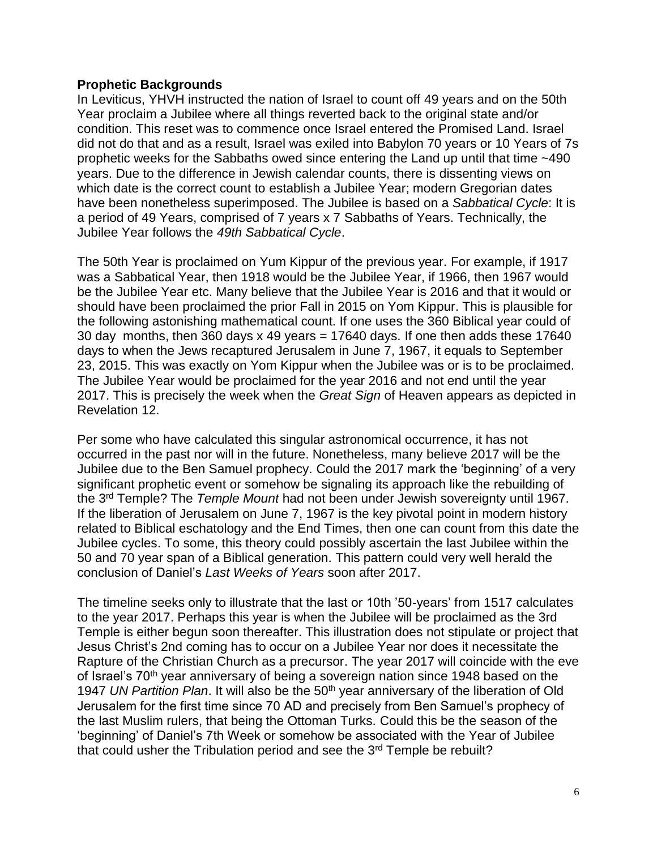## **Prophetic Backgrounds**

In Leviticus, YHVH instructed the nation of Israel to count off 49 years and on the 50th Year proclaim a Jubilee where all things reverted back to the original state and/or condition. This reset was to commence once Israel entered the Promised Land. Israel did not do that and as a result, Israel was exiled into Babylon 70 years or 10 Years of 7s prophetic weeks for the Sabbaths owed since entering the Land up until that time ~490 years. Due to the difference in Jewish calendar counts, there is dissenting views on which date is the correct count to establish a Jubilee Year; modern Gregorian dates have been nonetheless superimposed. The Jubilee is based on a *Sabbatical Cycle*: It is a period of 49 Years, comprised of 7 years x 7 Sabbaths of Years. Technically, the Jubilee Year follows the *49th Sabbatical Cycle*.

The 50th Year is proclaimed on Yum Kippur of the previous year. For example, if 1917 was a Sabbatical Year, then 1918 would be the Jubilee Year, if 1966, then 1967 would be the Jubilee Year etc. Many believe that the Jubilee Year is 2016 and that it would or should have been proclaimed the prior Fall in 2015 on Yom Kippur. This is plausible for the following astonishing mathematical count. If one uses the 360 Biblical year could of 30 day months, then 360 days x 49 years = 17640 days. If one then adds these 17640 days to when the Jews recaptured Jerusalem in June 7, 1967, it equals to September 23, 2015. This was exactly on Yom Kippur when the Jubilee was or is to be proclaimed. The Jubilee Year would be proclaimed for the year 2016 and not end until the year 2017. This is precisely the week when the *Great Sign* of Heaven appears as depicted in Revelation 12.

Per some who have calculated this singular astronomical occurrence, it has not occurred in the past nor will in the future. Nonetheless, many believe 2017 will be the Jubilee due to the Ben Samuel prophecy. Could the 2017 mark the 'beginning' of a very significant prophetic event or somehow be signaling its approach like the rebuilding of the 3rd Temple? The *Temple Mount* had not been under Jewish sovereignty until 1967. If the liberation of Jerusalem on June 7, 1967 is the key pivotal point in modern history related to Biblical eschatology and the End Times, then one can count from this date the Jubilee cycles. To some, this theory could possibly ascertain the last Jubilee within the 50 and 70 year span of a Biblical generation. This pattern could very well herald the conclusion of Daniel's *Last Weeks of Years* soon after 2017.

The timeline seeks only to illustrate that the last or 10th '50-years' from 1517 calculates to the year 2017. Perhaps this year is when the Jubilee will be proclaimed as the 3rd Temple is either begun soon thereafter. This illustration does not stipulate or project that Jesus Christ's 2nd coming has to occur on a Jubilee Year nor does it necessitate the Rapture of the Christian Church as a precursor. The year 2017 will coincide with the eve of Israel's 70<sup>th</sup> year anniversary of being a sovereign nation since 1948 based on the 1947 *UN Partition Plan*. It will also be the 50th year anniversary of the liberation of Old Jerusalem for the first time since 70 AD and precisely from Ben Samuel's prophecy of the last Muslim rulers, that being the Ottoman Turks. Could this be the season of the 'beginning' of Daniel's 7th Week or somehow be associated with the Year of Jubilee that could usher the Tribulation period and see the 3<sup>rd</sup> Temple be rebuilt?